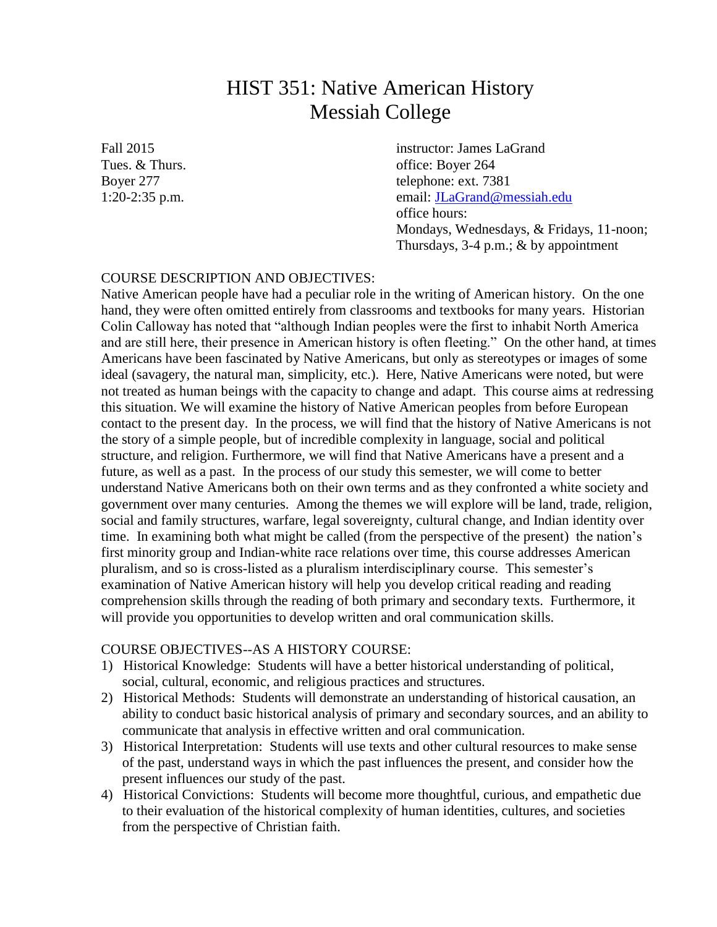# HIST 351: Native American History Messiah College

Fall 2015 **instructor: James LaGrand** Tues. & Thurs.  $\frac{1}{264}$  Tues.  $\frac{1}{264}$ Boyer 277 telephone: ext. 7381 1:20-2:35 p.m. email: [JLaGrand@messiah.edu](mailto:JLaGrand@messiah.edu) office hours: Mondays, Wednesdays, & Fridays, 11-noon; Thursdays,  $3-4$  p.m.;  $\&$  by appointment

# COURSE DESCRIPTION AND OBJECTIVES:

Native American people have had a peculiar role in the writing of American history. On the one hand, they were often omitted entirely from classrooms and textbooks for many years. Historian Colin Calloway has noted that "although Indian peoples were the first to inhabit North America and are still here, their presence in American history is often fleeting." On the other hand, at times Americans have been fascinated by Native Americans, but only as stereotypes or images of some ideal (savagery, the natural man, simplicity, etc.). Here, Native Americans were noted, but were not treated as human beings with the capacity to change and adapt. This course aims at redressing this situation. We will examine the history of Native American peoples from before European contact to the present day. In the process, we will find that the history of Native Americans is not the story of a simple people, but of incredible complexity in language, social and political structure, and religion. Furthermore, we will find that Native Americans have a present and a future, as well as a past. In the process of our study this semester, we will come to better understand Native Americans both on their own terms and as they confronted a white society and government over many centuries. Among the themes we will explore will be land, trade, religion, social and family structures, warfare, legal sovereignty, cultural change, and Indian identity over time. In examining both what might be called (from the perspective of the present) the nation's first minority group and Indian-white race relations over time, this course addresses American pluralism, and so is cross-listed as a pluralism interdisciplinary course. This semester's examination of Native American history will help you develop critical reading and reading comprehension skills through the reading of both primary and secondary texts. Furthermore, it will provide you opportunities to develop written and oral communication skills.

# COURSE OBJECTIVES--AS A HISTORY COURSE:

- 1) Historical Knowledge: Students will have a better historical understanding of political, social, cultural, economic, and religious practices and structures.
- 2) Historical Methods: Students will demonstrate an understanding of historical causation, an ability to conduct basic historical analysis of primary and secondary sources, and an ability to communicate that analysis in effective written and oral communication.
- 3) Historical Interpretation: Students will use texts and other cultural resources to make sense of the past, understand ways in which the past influences the present, and consider how the present influences our study of the past.
- 4) Historical Convictions: Students will become more thoughtful, curious, and empathetic due to their evaluation of the historical complexity of human identities, cultures, and societies from the perspective of Christian faith.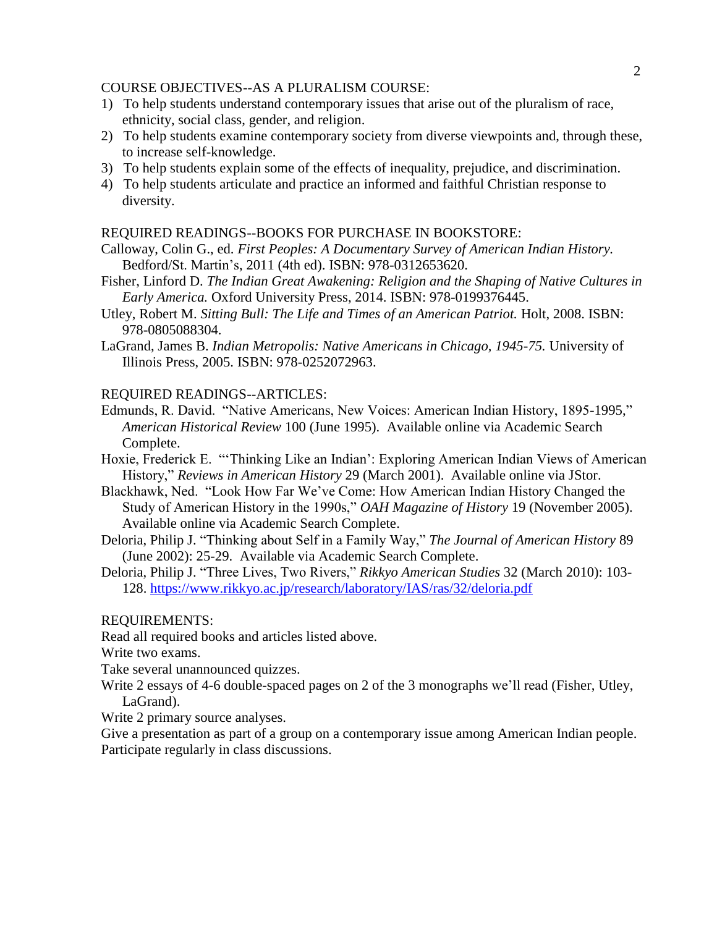## COURSE OBJECTIVES--AS A PLURALISM COURSE:

- 1) To help students understand contemporary issues that arise out of the pluralism of race, ethnicity, social class, gender, and religion.
- 2) To help students examine contemporary society from diverse viewpoints and, through these, to increase self-knowledge.
- 3) To help students explain some of the effects of inequality, prejudice, and discrimination.
- 4) To help students articulate and practice an informed and faithful Christian response to diversity.

# REQUIRED READINGS--BOOKS FOR PURCHASE IN BOOKSTORE:

- Calloway, Colin G., ed. *First Peoples: A Documentary Survey of American Indian History.* Bedford/St. Martin's, 2011 (4th ed). ISBN: 978-0312653620.
- Fisher, Linford D. *The Indian Great Awakening: Religion and the Shaping of Native Cultures in Early America.* Oxford University Press, 2014. ISBN: 978-0199376445.
- Utley, Robert M. *Sitting Bull: The Life and Times of an American Patriot.* Holt, 2008. ISBN: 978-0805088304.
- LaGrand, James B. *Indian Metropolis: Native Americans in Chicago, 1945-75.* University of Illinois Press, 2005. ISBN: 978-0252072963.

### REQUIRED READINGS--ARTICLES:

- Edmunds, R. David. "Native Americans, New Voices: American Indian History, 1895-1995," *American Historical Review* 100 (June 1995). Available online via Academic Search Complete.
- Hoxie, Frederick E. "'Thinking Like an Indian': Exploring American Indian Views of American History," *Reviews in American History* 29 (March 2001). Available online via JStor.
- Blackhawk, Ned. "Look How Far We've Come: How American Indian History Changed the Study of American History in the 1990s," *OAH Magazine of History* 19 (November 2005). Available online via Academic Search Complete.
- Deloria, Philip J. "Thinking about Self in a Family Way," *The Journal of American History* 89 (June 2002): 25-29. Available via Academic Search Complete.
- Deloria, Philip J. "Three Lives, Two Rivers," *Rikkyo American Studies* 32 (March 2010): 103- 128.<https://www.rikkyo.ac.jp/research/laboratory/IAS/ras/32/deloria.pdf>

#### REQUIREMENTS:

Read all required books and articles listed above.

Write two exams.

Take several unannounced quizzes.

- Write 2 essays of 4-6 double-spaced pages on 2 of the 3 monographs we'll read (Fisher, Utley, LaGrand).
- Write 2 primary source analyses.

Give a presentation as part of a group on a contemporary issue among American Indian people. Participate regularly in class discussions.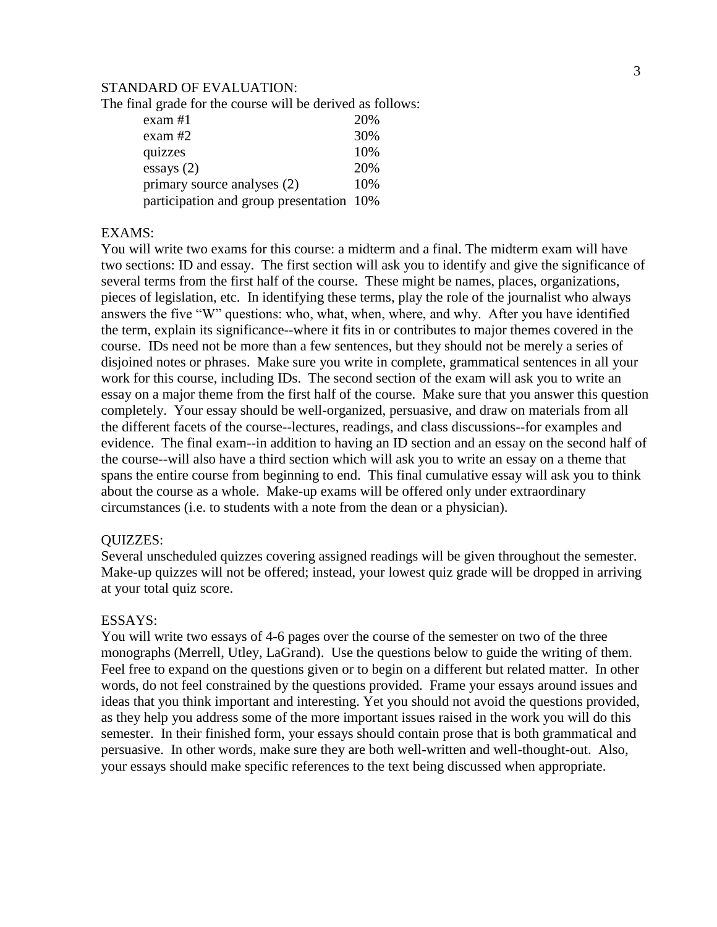#### STANDARD OF EVALUATION:

The final grade for the course will be derived as follows:

| $exam \#1$                               | 20% |
|------------------------------------------|-----|
| $exam$ #2                                | 30% |
| quizzes                                  | 10% |
| essays(2)                                | 20% |
| primary source analyses (2)              | 10% |
| participation and group presentation 10% |     |

## EXAMS:

You will write two exams for this course: a midterm and a final. The midterm exam will have two sections: ID and essay. The first section will ask you to identify and give the significance of several terms from the first half of the course. These might be names, places, organizations, pieces of legislation, etc. In identifying these terms, play the role of the journalist who always answers the five "W" questions: who, what, when, where, and why. After you have identified the term, explain its significance--where it fits in or contributes to major themes covered in the course. IDs need not be more than a few sentences, but they should not be merely a series of disjoined notes or phrases. Make sure you write in complete, grammatical sentences in all your work for this course, including IDs. The second section of the exam will ask you to write an essay on a major theme from the first half of the course. Make sure that you answer this question completely. Your essay should be well-organized, persuasive, and draw on materials from all the different facets of the course--lectures, readings, and class discussions--for examples and evidence. The final exam--in addition to having an ID section and an essay on the second half of the course--will also have a third section which will ask you to write an essay on a theme that spans the entire course from beginning to end. This final cumulative essay will ask you to think about the course as a whole. Make-up exams will be offered only under extraordinary circumstances (i.e. to students with a note from the dean or a physician).

#### QUIZZES:

Several unscheduled quizzes covering assigned readings will be given throughout the semester. Make-up quizzes will not be offered; instead, your lowest quiz grade will be dropped in arriving at your total quiz score.

#### ESSAYS:

You will write two essays of 4-6 pages over the course of the semester on two of the three monographs (Merrell, Utley, LaGrand). Use the questions below to guide the writing of them. Feel free to expand on the questions given or to begin on a different but related matter. In other words, do not feel constrained by the questions provided. Frame your essays around issues and ideas that you think important and interesting. Yet you should not avoid the questions provided, as they help you address some of the more important issues raised in the work you will do this semester. In their finished form, your essays should contain prose that is both grammatical and persuasive. In other words, make sure they are both well-written and well-thought-out. Also, your essays should make specific references to the text being discussed when appropriate.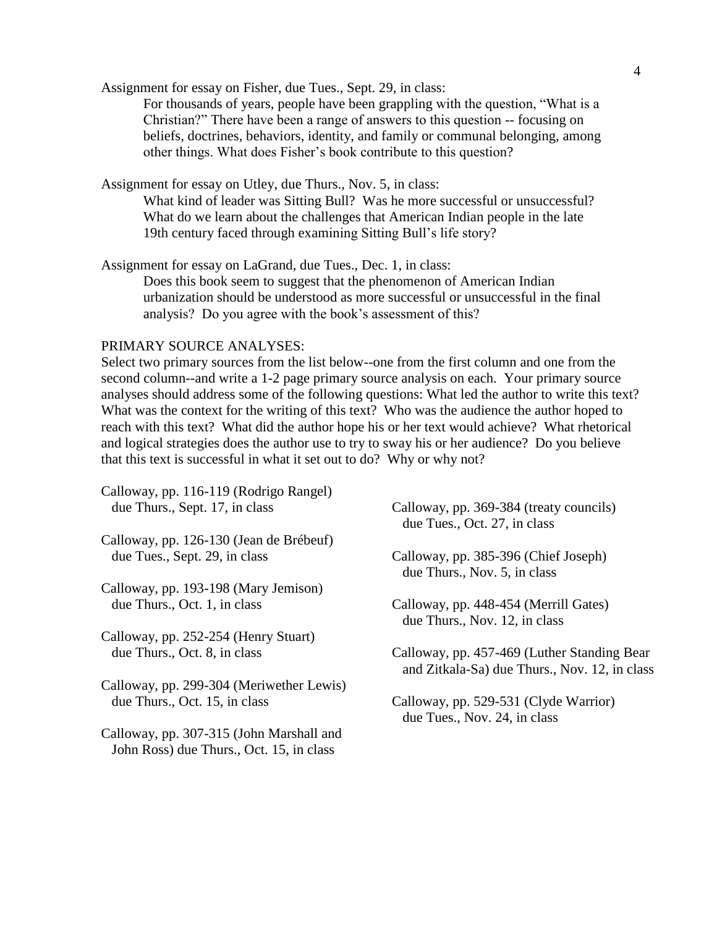Assignment for essay on Fisher, due Tues., Sept. 29, in class:

For thousands of years, people have been grappling with the question, "What is a Christian?" There have been a range of answers to this question -- focusing on beliefs, doctrines, behaviors, identity, and family or communal belonging, among other things. What does Fisher's book contribute to this question?

Assignment for essay on Utley, due Thurs., Nov. 5, in class:

What kind of leader was Sitting Bull? Was he more successful or unsuccessful? What do we learn about the challenges that American Indian people in the late 19th century faced through examining Sitting Bull's life story?

Assignment for essay on LaGrand, due Tues., Dec. 1, in class:

Does this book seem to suggest that the phenomenon of American Indian urbanization should be understood as more successful or unsuccessful in the final analysis? Do you agree with the book's assessment of this?

#### PRIMARY SOURCE ANALYSES:

Select two primary sources from the list below--one from the first column and one from the second column--and write a 1-2 page primary source analysis on each. Your primary source analyses should address some of the following questions: What led the author to write this text? What was the context for the writing of this text? Who was the audience the author hoped to reach with this text? What did the author hope his or her text would achieve? What rhetorical and logical strategies does the author use to try to sway his or her audience? Do you believe that this text is successful in what it set out to do? Why or why not?

| Calloway, pp. 369-384 (treaty councils)                                                       |
|-----------------------------------------------------------------------------------------------|
| due Tues., Oct. 27, in class                                                                  |
|                                                                                               |
| Calloway, pp. 385-396 (Chief Joseph)<br>due Thurs., Nov. 5, in class                          |
|                                                                                               |
| Calloway, pp. 448-454 (Merrill Gates)<br>due Thurs., Nov. 12, in class                        |
|                                                                                               |
| Calloway, pp. 457-469 (Luther Standing Bear)<br>and Zitkala-Sa) due Thurs., Nov. 12, in class |
|                                                                                               |
| Calloway, pp. 529-531 (Clyde Warrior)<br>due Tues., Nov. 24, in class                         |
|                                                                                               |
|                                                                                               |
|                                                                                               |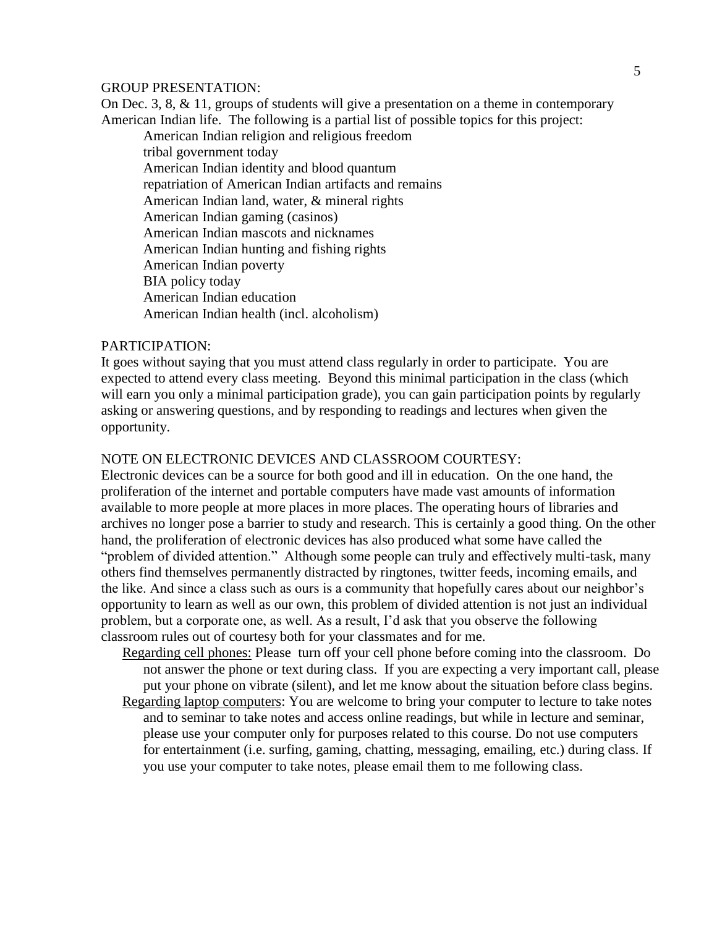#### GROUP PRESENTATION:

On Dec. 3, 8, & 11, groups of students will give a presentation on a theme in contemporary American Indian life. The following is a partial list of possible topics for this project:

American Indian religion and religious freedom tribal government today American Indian identity and blood quantum repatriation of American Indian artifacts and remains American Indian land, water, & mineral rights American Indian gaming (casinos) American Indian mascots and nicknames American Indian hunting and fishing rights American Indian poverty BIA policy today American Indian education American Indian health (incl. alcoholism)

#### PARTICIPATION:

It goes without saying that you must attend class regularly in order to participate. You are expected to attend every class meeting. Beyond this minimal participation in the class (which will earn you only a minimal participation grade), you can gain participation points by regularly asking or answering questions, and by responding to readings and lectures when given the opportunity.

# NOTE ON ELECTRONIC DEVICES AND CLASSROOM COURTESY:

Electronic devices can be a source for both good and ill in education. On the one hand, the proliferation of the internet and portable computers have made vast amounts of information available to more people at more places in more places. The operating hours of libraries and archives no longer pose a barrier to study and research. This is certainly a good thing. On the other hand, the proliferation of electronic devices has also produced what some have called the "problem of divided attention." Although some people can truly and effectively multi-task, many others find themselves permanently distracted by ringtones, twitter feeds, incoming emails, and the like. And since a class such as ours is a community that hopefully cares about our neighbor's opportunity to learn as well as our own, this problem of divided attention is not just an individual problem, but a corporate one, as well. As a result, I'd ask that you observe the following classroom rules out of courtesy both for your classmates and for me.

- Regarding cell phones: Please turn off your cell phone before coming into the classroom. Do not answer the phone or text during class. If you are expecting a very important call, please put your phone on vibrate (silent), and let me know about the situation before class begins.
- Regarding laptop computers: You are welcome to bring your computer to lecture to take notes and to seminar to take notes and access online readings, but while in lecture and seminar, please use your computer only for purposes related to this course. Do not use computers for entertainment (i.e. surfing, gaming, chatting, messaging, emailing, etc.) during class. If you use your computer to take notes, please email them to me following class.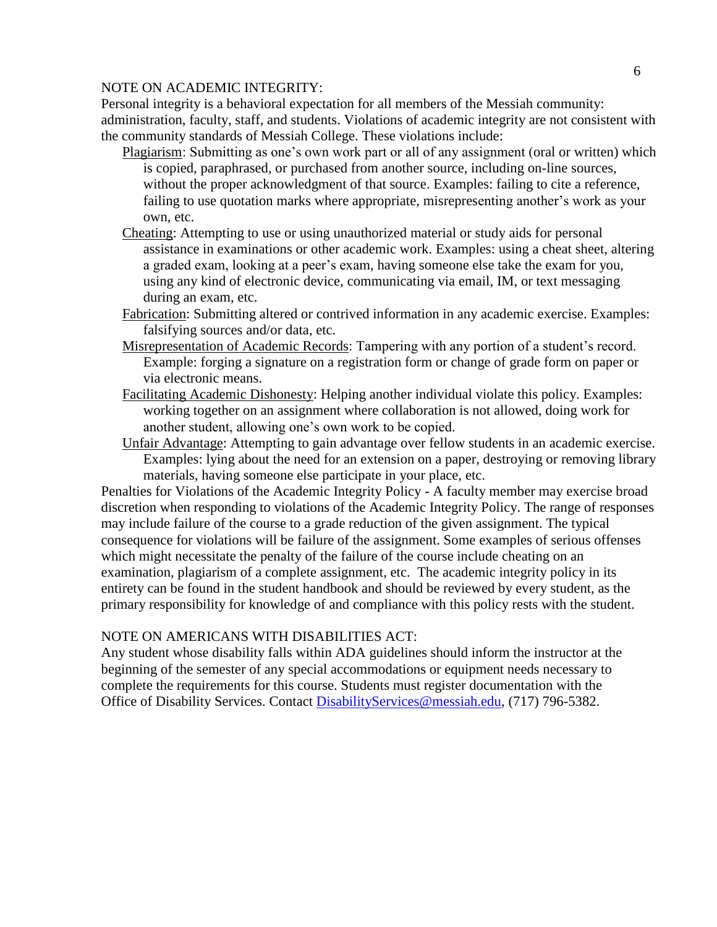#### 6

#### NOTE ON ACADEMIC INTEGRITY:

Personal integrity is a behavioral expectation for all members of the Messiah community: administration, faculty, staff, and students. Violations of academic integrity are not consistent with the community standards of Messiah College. These violations include:

- Plagiarism: Submitting as one's own work part or all of any assignment (oral or written) which is copied, paraphrased, or purchased from another source, including on-line sources, without the proper acknowledgment of that source. Examples: failing to cite a reference, failing to use quotation marks where appropriate, misrepresenting another's work as your own, etc.
- Cheating: Attempting to use or using unauthorized material or study aids for personal assistance in examinations or other academic work. Examples: using a cheat sheet, altering a graded exam, looking at a peer's exam, having someone else take the exam for you, using any kind of electronic device, communicating via email, IM, or text messaging during an exam, etc.
- Fabrication: Submitting altered or contrived information in any academic exercise. Examples: falsifying sources and/or data, etc.
- Misrepresentation of Academic Records: Tampering with any portion of a student's record. Example: forging a signature on a registration form or change of grade form on paper or via electronic means.
- Facilitating Academic Dishonesty: Helping another individual violate this policy. Examples: working together on an assignment where collaboration is not allowed, doing work for another student, allowing one's own work to be copied.
- Unfair Advantage: Attempting to gain advantage over fellow students in an academic exercise. Examples: lying about the need for an extension on a paper, destroying or removing library materials, having someone else participate in your place, etc.

Penalties for Violations of the Academic Integrity Policy - A faculty member may exercise broad discretion when responding to violations of the Academic Integrity Policy. The range of responses may include failure of the course to a grade reduction of the given assignment. The typical consequence for violations will be failure of the assignment. Some examples of serious offenses which might necessitate the penalty of the failure of the course include cheating on an examination, plagiarism of a complete assignment, etc. The academic integrity policy in its entirety can be found in the student handbook and should be reviewed by every student, as the primary responsibility for knowledge of and compliance with this policy rests with the student.

# NOTE ON AMERICANS WITH DISABILITIES ACT:

Any student whose disability falls within ADA guidelines should inform the instructor at the beginning of the semester of any special accommodations or equipment needs necessary to complete the requirements for this course. Students must register documentation with the Office of Disability Services. Contact [DisabilityServices@messiah.edu,](mailto:DisabilityServices@messiah.edu) (717) 796-5382.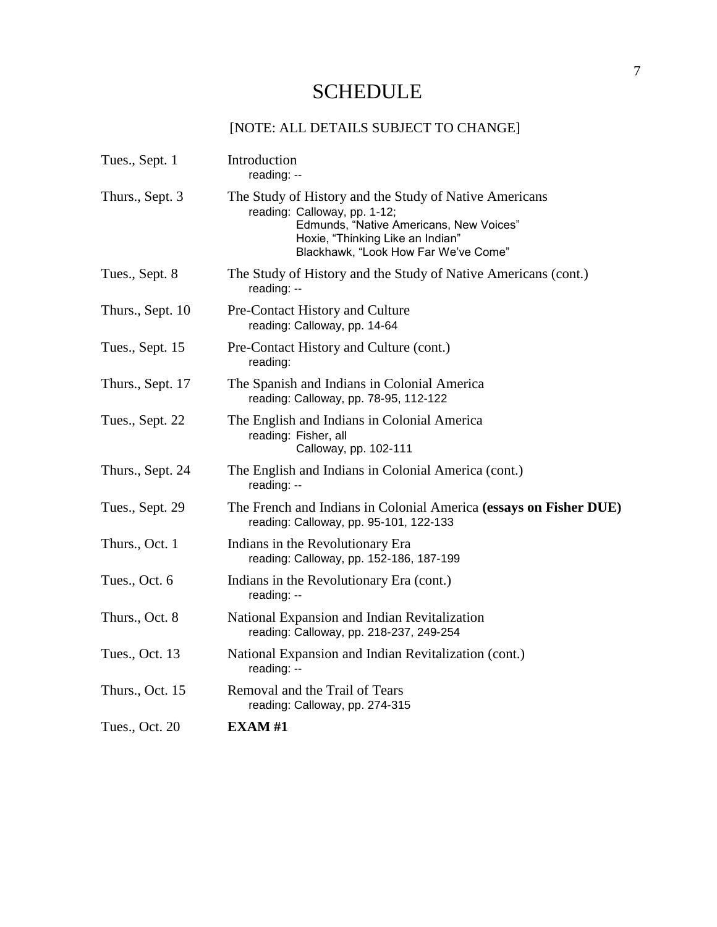# **SCHEDULE**

# [NOTE: ALL DETAILS SUBJECT TO CHANGE]

| Tues., Sept. 1   | Introduction<br>reading: --                                                                                                                                                                                   |
|------------------|---------------------------------------------------------------------------------------------------------------------------------------------------------------------------------------------------------------|
| Thurs., Sept. 3  | The Study of History and the Study of Native Americans<br>reading: Calloway, pp. 1-12;<br>Edmunds, "Native Americans, New Voices"<br>Hoxie, "Thinking Like an Indian"<br>Blackhawk, "Look How Far We've Come" |
| Tues., Sept. 8   | The Study of History and the Study of Native Americans (cont.)<br>reading: --                                                                                                                                 |
| Thurs., Sept. 10 | Pre-Contact History and Culture<br>reading: Calloway, pp. 14-64                                                                                                                                               |
| Tues., Sept. 15  | Pre-Contact History and Culture (cont.)<br>reading:                                                                                                                                                           |
| Thurs., Sept. 17 | The Spanish and Indians in Colonial America<br>reading: Calloway, pp. 78-95, 112-122                                                                                                                          |
| Tues., Sept. 22  | The English and Indians in Colonial America<br>reading: Fisher, all<br>Calloway, pp. 102-111                                                                                                                  |
| Thurs., Sept. 24 | The English and Indians in Colonial America (cont.)<br>reading: --                                                                                                                                            |
| Tues., Sept. 29  | The French and Indians in Colonial America (essays on Fisher DUE)<br>reading: Calloway, pp. 95-101, 122-133                                                                                                   |
| Thurs., Oct. 1   | Indians in the Revolutionary Era<br>reading: Calloway, pp. 152-186, 187-199                                                                                                                                   |
| Tues., Oct. 6    | Indians in the Revolutionary Era (cont.)<br>reading: --                                                                                                                                                       |
| Thurs., Oct. 8   | National Expansion and Indian Revitalization<br>reading: Calloway, pp. 218-237, 249-254                                                                                                                       |
| Tues., Oct. 13   | National Expansion and Indian Revitalization (cont.)<br>reading: --                                                                                                                                           |
| Thurs., Oct. 15  | Removal and the Trail of Tears<br>reading: Calloway, pp. 274-315                                                                                                                                              |
| Tues., Oct. 20   | EXAMPLE XAM #1                                                                                                                                                                                                |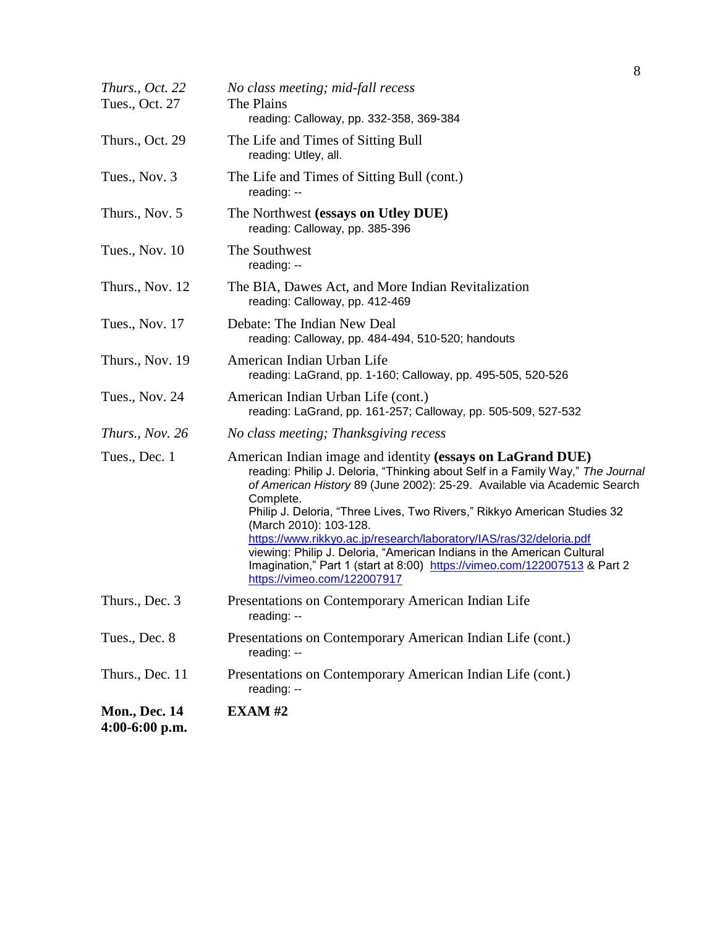| Thurs., Oct. 22<br>Tues., Oct. 27        | No class meeting; mid-fall recess<br>The Plains<br>reading: Calloway, pp. 332-358, 369-384                                                                                                                                                                                                                                                                                                                                                                                                                                                                                                               |
|------------------------------------------|----------------------------------------------------------------------------------------------------------------------------------------------------------------------------------------------------------------------------------------------------------------------------------------------------------------------------------------------------------------------------------------------------------------------------------------------------------------------------------------------------------------------------------------------------------------------------------------------------------|
| Thurs., Oct. 29                          | The Life and Times of Sitting Bull<br>reading: Utley, all.                                                                                                                                                                                                                                                                                                                                                                                                                                                                                                                                               |
| Tues., Nov. 3                            | The Life and Times of Sitting Bull (cont.)<br>reading: --                                                                                                                                                                                                                                                                                                                                                                                                                                                                                                                                                |
| Thurs., Nov. 5                           | The Northwest (essays on Utley DUE)<br>reading: Calloway, pp. 385-396                                                                                                                                                                                                                                                                                                                                                                                                                                                                                                                                    |
| Tues., Nov. 10                           | The Southwest<br>reading: --                                                                                                                                                                                                                                                                                                                                                                                                                                                                                                                                                                             |
| Thurs., Nov. 12                          | The BIA, Dawes Act, and More Indian Revitalization<br>reading: Calloway, pp. 412-469                                                                                                                                                                                                                                                                                                                                                                                                                                                                                                                     |
| Tues., Nov. 17                           | Debate: The Indian New Deal<br>reading: Calloway, pp. 484-494, 510-520; handouts                                                                                                                                                                                                                                                                                                                                                                                                                                                                                                                         |
| Thurs., Nov. 19                          | American Indian Urban Life<br>reading: LaGrand, pp. 1-160; Calloway, pp. 495-505, 520-526                                                                                                                                                                                                                                                                                                                                                                                                                                                                                                                |
| Tues., Nov. 24                           | American Indian Urban Life (cont.)<br>reading: LaGrand, pp. 161-257; Calloway, pp. 505-509, 527-532                                                                                                                                                                                                                                                                                                                                                                                                                                                                                                      |
| Thurs., Nov. 26                          | No class meeting; Thanksgiving recess                                                                                                                                                                                                                                                                                                                                                                                                                                                                                                                                                                    |
| Tues., Dec. 1                            | American Indian image and identity (essays on LaGrand DUE)<br>reading: Philip J. Deloria, "Thinking about Self in a Family Way," The Journal<br>of American History 89 (June 2002): 25-29. Available via Academic Search<br>Complete.<br>Philip J. Deloria, "Three Lives, Two Rivers," Rikkyo American Studies 32<br>(March 2010): 103-128.<br>https://www.rikkyo.ac.jp/research/laboratory/IAS/ras/32/deloria.pdf<br>viewing: Philip J. Deloria, "American Indians in the American Cultural<br>Imagination," Part 1 (start at 8:00) https://vimeo.com/122007513 & Part 2<br>https://vimeo.com/122007917 |
| Thurs., Dec. 3                           | Presentations on Contemporary American Indian Life<br>reading: --                                                                                                                                                                                                                                                                                                                                                                                                                                                                                                                                        |
| Tues., Dec. 8                            | Presentations on Contemporary American Indian Life (cont.)<br>reading: --                                                                                                                                                                                                                                                                                                                                                                                                                                                                                                                                |
| Thurs., Dec. 11                          | Presentations on Contemporary American Indian Life (cont.)<br>reading: --                                                                                                                                                                                                                                                                                                                                                                                                                                                                                                                                |
| <b>Mon., Dec. 14</b><br>$4:00-6:00$ p.m. | <b>EXAM#2</b>                                                                                                                                                                                                                                                                                                                                                                                                                                                                                                                                                                                            |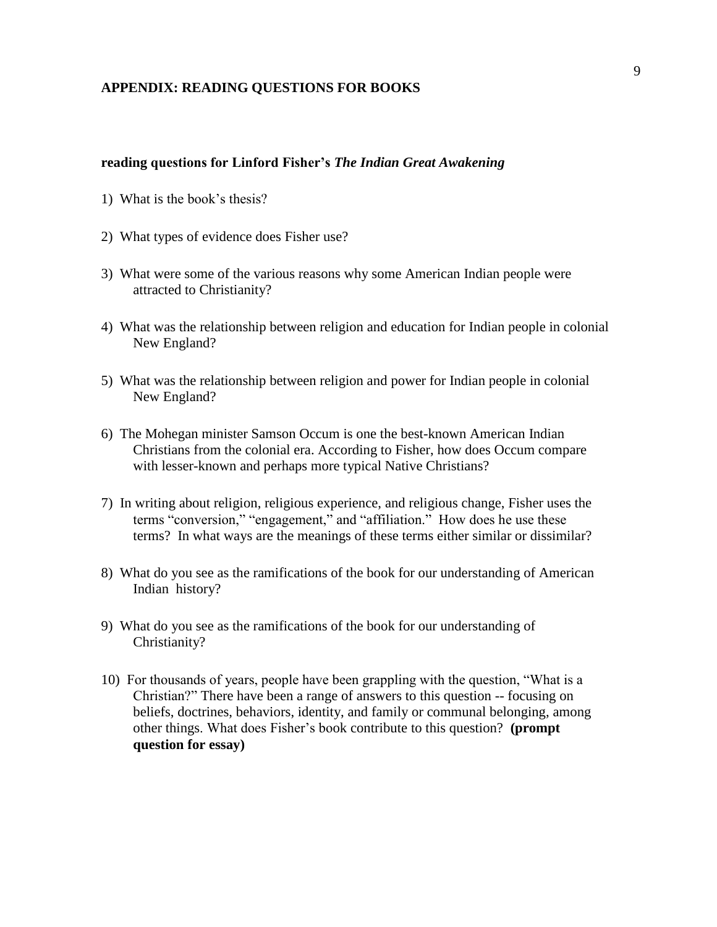#### **APPENDIX: READING QUESTIONS FOR BOOKS**

#### **reading questions for Linford Fisher's** *The Indian Great Awakening*

- 1) What is the book's thesis?
- 2) What types of evidence does Fisher use?
- 3) What were some of the various reasons why some American Indian people were attracted to Christianity?
- 4) What was the relationship between religion and education for Indian people in colonial New England?
- 5) What was the relationship between religion and power for Indian people in colonial New England?
- 6) The Mohegan minister Samson Occum is one the best-known American Indian Christians from the colonial era. According to Fisher, how does Occum compare with lesser-known and perhaps more typical Native Christians?
- 7) In writing about religion, religious experience, and religious change, Fisher uses the terms "conversion," "engagement," and "affiliation." How does he use these terms? In what ways are the meanings of these terms either similar or dissimilar?
- 8) What do you see as the ramifications of the book for our understanding of American Indian history?
- 9) What do you see as the ramifications of the book for our understanding of Christianity?
- 10) For thousands of years, people have been grappling with the question, "What is a Christian?" There have been a range of answers to this question -- focusing on beliefs, doctrines, behaviors, identity, and family or communal belonging, among other things. What does Fisher's book contribute to this question? **(prompt question for essay)**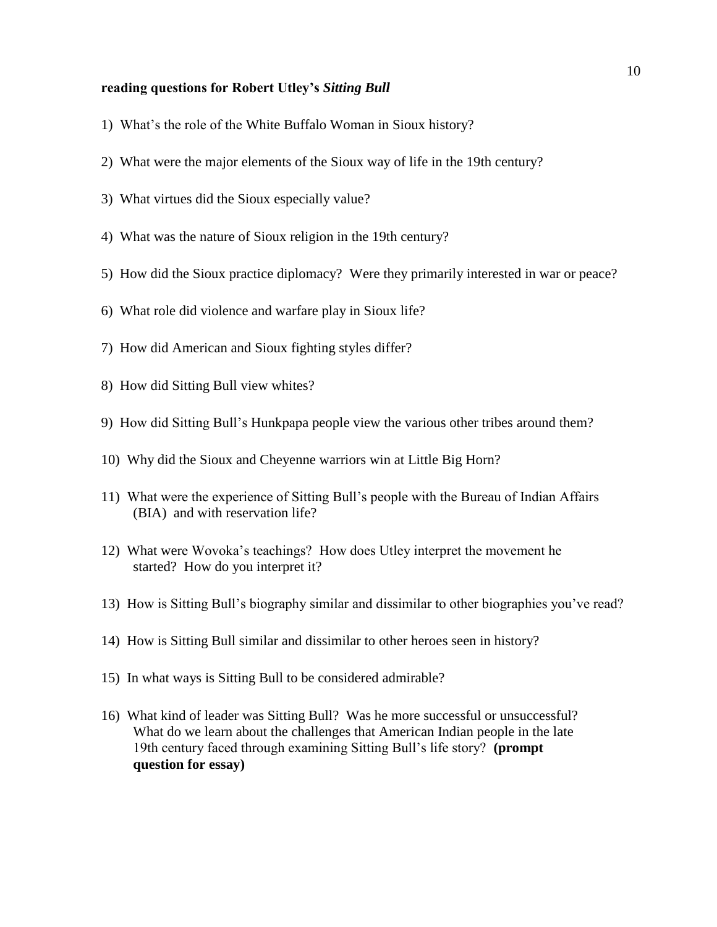#### **reading questions for Robert Utley's** *Sitting Bull*

- 1) What's the role of the White Buffalo Woman in Sioux history?
- 2) What were the major elements of the Sioux way of life in the 19th century?
- 3) What virtues did the Sioux especially value?
- 4) What was the nature of Sioux religion in the 19th century?
- 5) How did the Sioux practice diplomacy? Were they primarily interested in war or peace?
- 6) What role did violence and warfare play in Sioux life?
- 7) How did American and Sioux fighting styles differ?
- 8) How did Sitting Bull view whites?
- 9) How did Sitting Bull's Hunkpapa people view the various other tribes around them?
- 10) Why did the Sioux and Cheyenne warriors win at Little Big Horn?
- 11) What were the experience of Sitting Bull's people with the Bureau of Indian Affairs (BIA) and with reservation life?
- 12) What were Wovoka's teachings? How does Utley interpret the movement he started? How do you interpret it?
- 13) How is Sitting Bull's biography similar and dissimilar to other biographies you've read?
- 14) How is Sitting Bull similar and dissimilar to other heroes seen in history?
- 15) In what ways is Sitting Bull to be considered admirable?
- 16) What kind of leader was Sitting Bull? Was he more successful or unsuccessful? What do we learn about the challenges that American Indian people in the late 19th century faced through examining Sitting Bull's life story? **(prompt question for essay)**